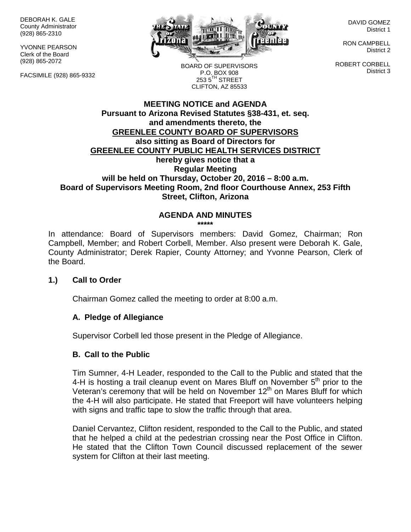DEBORAH K. GALE County Administrator (928) 865-2310

YVONNE PEARSON Clerk of the Board (928) 865-2072

FACSIMILE (928) 865-9332



DAVID GOMEZ District 1

RON CAMPBELL District 2

ROBERT CORBELL District 3

BOARD OF SUPERVISORS P.O. BOX 908  $253.5$ <sup>TH</sup> STREET CLIFTON, AZ 85533

#### **MEETING NOTICE and AGENDA Pursuant to Arizona Revised Statutes §38-431, et. seq. and amendments thereto, the GREENLEE COUNTY BOARD OF SUPERVISORS also sitting as Board of Directors for GREENLEE COUNTY PUBLIC HEALTH SERVICES DISTRICT hereby gives notice that a Regular Meeting will be held on Thursday, October 20, 2016 – 8:00 a.m. Board of Supervisors Meeting Room, 2nd floor Courthouse Annex, 253 Fifth Street, Clifton, Arizona**

# **AGENDA AND MINUTES**

**\*\*\*\*\***

In attendance: Board of Supervisors members: David Gomez, Chairman; Ron Campbell, Member; and Robert Corbell, Member. Also present were Deborah K. Gale, County Administrator; Derek Rapier, County Attorney; and Yvonne Pearson, Clerk of the Board.

## **1.) Call to Order**

Chairman Gomez called the meeting to order at 8:00 a.m.

## **A. Pledge of Allegiance**

Supervisor Corbell led those present in the Pledge of Allegiance.

#### **B. Call to the Public**

Tim Sumner, 4-H Leader, responded to the Call to the Public and stated that the 4-H is hosting a trail cleanup event on Mares Bluff on November  $5<sup>th</sup>$  prior to the Veteran's ceremony that will be held on November 12<sup>th</sup> on Mares Bluff for which the 4-H will also participate. He stated that Freeport will have volunteers helping with signs and traffic tape to slow the traffic through that area.

Daniel Cervantez, Clifton resident, responded to the Call to the Public, and stated that he helped a child at the pedestrian crossing near the Post Office in Clifton. He stated that the Clifton Town Council discussed replacement of the sewer system for Clifton at their last meeting.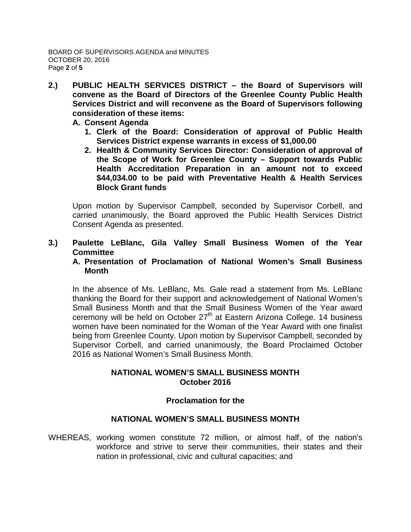- **2.) PUBLIC HEALTH SERVICES DISTRICT – the Board of Supervisors will convene as the Board of Directors of the Greenlee County Public Health Services District and will reconvene as the Board of Supervisors following consideration of these items:**
	- **A. Consent Agenda**
		- **1. Clerk of the Board: Consideration of approval of Public Health Services District expense warrants in excess of \$1,000.00**
		- **2. Health & Community Services Director: Consideration of approval of the Scope of Work for Greenlee County – Support towards Public Health Accreditation Preparation in an amount not to exceed \$44,034.00 to be paid with Preventative Health & Health Services Block Grant funds**

Upon motion by Supervisor Campbell, seconded by Supervisor Corbell, and carried unanimously, the Board approved the Public Health Services District Consent Agenda as presented.

**3.) Paulette LeBlanc, Gila Valley Small Business Women of the Year Committee**

#### **A. Presentation of Proclamation of National Women's Small Business Month**

In the absence of Ms. LeBlanc, Ms. Gale read a statement from Ms. LeBlanc thanking the Board for their support and acknowledgement of National Women's Small Business Month and that the Small Business Women of the Year award ceremony will be held on October  $27<sup>th</sup>$  at Eastern Arizona College. 14 business women have been nominated for the Woman of the Year Award with one finalist being from Greenlee County. Upon motion by Supervisor Campbell, seconded by Supervisor Corbell, and carried unanimously, the Board Proclaimed October 2016 as National Women's Small Business Month.

## **NATIONAL WOMEN'S SMALL BUSINESS MONTH October 2016**

## **Proclamation for the**

## **NATIONAL WOMEN'S SMALL BUSINESS MONTH**

WHEREAS, working women constitute 72 million, or almost half, of the nation's workforce and strive to serve their communities, their states and their nation in professional, civic and cultural capacities; and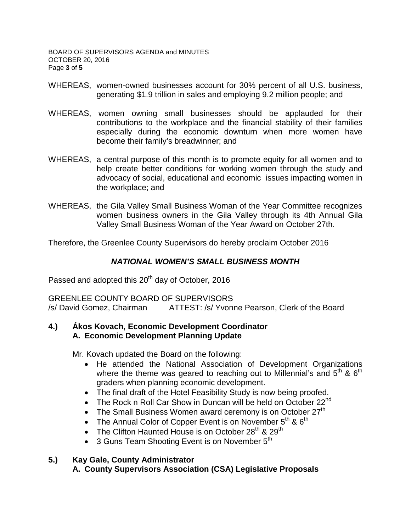BOARD OF SUPERVISORS AGENDA and MINUTES OCTOBER 20, 2016 Page **3** of **5**

- WHEREAS, women-owned businesses account for 30% percent of all U.S. business, generating \$1.9 trillion in sales and employing 9.2 million people; and
- WHEREAS, women owning small businesses should be applauded for their contributions to the workplace and the financial stability of their families especially during the economic downturn when more women have become their family's breadwinner; and
- WHEREAS, a central purpose of this month is to promote equity for all women and to help create better conditions for working women through the study and advocacy of social, educational and economic issues impacting women in the workplace; and
- WHEREAS, the Gila Valley Small Business Woman of the Year Committee recognizes women business owners in the Gila Valley through its 4th Annual Gila Valley Small Business Woman of the Year Award on October 27th.

Therefore, the Greenlee County Supervisors do hereby proclaim October 2016

# *NATIONAL WOMEN'S SMALL BUSINESS MONTH*

Passed and adopted this 20<sup>th</sup> day of October, 2016

GREENLEE COUNTY BOARD OF SUPERVISORS /s/ David Gomez, Chairman ATTEST: /s/ Yvonne Pearson, Clerk of the Board

## **4.) Ákos Kovach, Economic Development Coordinator A. Economic Development Planning Update**

Mr. Kovach updated the Board on the following:

- He attended the National Association of Development Organizations where the theme was geared to reaching out to Millennial's and  $5<sup>th</sup>$  &  $6<sup>th</sup>$ graders when planning economic development.
- The final draft of the Hotel Feasibility Study is now being proofed.
- The Rock n Roll Car Show in Duncan will be held on October  $22^{nd}$
- The Small Business Women award ceremony is on October  $27<sup>th</sup>$
- The Annual Color of Copper Event is on November  $5<sup>th</sup>$  &  $6<sup>th</sup>$
- The Clifton Haunted House is on October  $28<sup>th</sup>$  &  $29<sup>th</sup>$
- 3 Guns Team Shooting Event is on November  $5<sup>th</sup>$

# **5.) Kay Gale, County Administrator**

**A. County Supervisors Association (CSA) Legislative Proposals**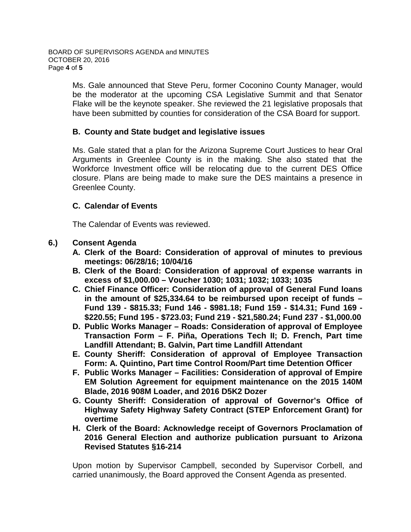Ms. Gale announced that Steve Peru, former Coconino County Manager, would be the moderator at the upcoming CSA Legislative Summit and that Senator Flake will be the keynote speaker. She reviewed the 21 legislative proposals that have been submitted by counties for consideration of the CSA Board for support.

## **B. County and State budget and legislative issues**

Ms. Gale stated that a plan for the Arizona Supreme Court Justices to hear Oral Arguments in Greenlee County is in the making. She also stated that the Workforce Investment office will be relocating due to the current DES Office closure. Plans are being made to make sure the DES maintains a presence in Greenlee County.

## **C. Calendar of Events**

The Calendar of Events was reviewed.

## **6.) Consent Agenda**

- **A. Clerk of the Board: Consideration of approval of minutes to previous meetings: 06/28/16; 10/04/16**
- **B. Clerk of the Board: Consideration of approval of expense warrants in excess of \$1,000.00 – Voucher 1030; 1031; 1032; 1033; 1035**
- **C. Chief Finance Officer: Consideration of approval of General Fund loans in the amount of \$25,334.64 to be reimbursed upon receipt of funds – Fund 139 - \$815.33; Fund 146 - \$981.18; Fund 159 - \$14.31; Fund 169 - \$220.55; Fund 195 - \$723.03; Fund 219 - \$21,580.24; Fund 237 - \$1,000.00**
- **D. Public Works Manager – Roads: Consideration of approval of Employee Transaction Form – F. Piña, Operations Tech II; D. French, Part time Landfill Attendant; B. Galvin, Part time Landfill Attendant**
- **E. County Sheriff: Consideration of approval of Employee Transaction Form: A. Quintino, Part time Control Room/Part time Detention Officer**
- **F. Public Works Manager – Facilities: Consideration of approval of Empire EM Solution Agreement for equipment maintenance on the 2015 140M Blade, 2016 908M Loader, and 2016 D5K2 Dozer**
- **G. County Sheriff: Consideration of approval of Governor's Office of Highway Safety Highway Safety Contract (STEP Enforcement Grant) for overtime**
- **H. Clerk of the Board: Acknowledge receipt of Governors Proclamation of 2016 General Election and authorize publication pursuant to Arizona Revised Statutes §16-214**

Upon motion by Supervisor Campbell, seconded by Supervisor Corbell, and carried unanimously, the Board approved the Consent Agenda as presented.